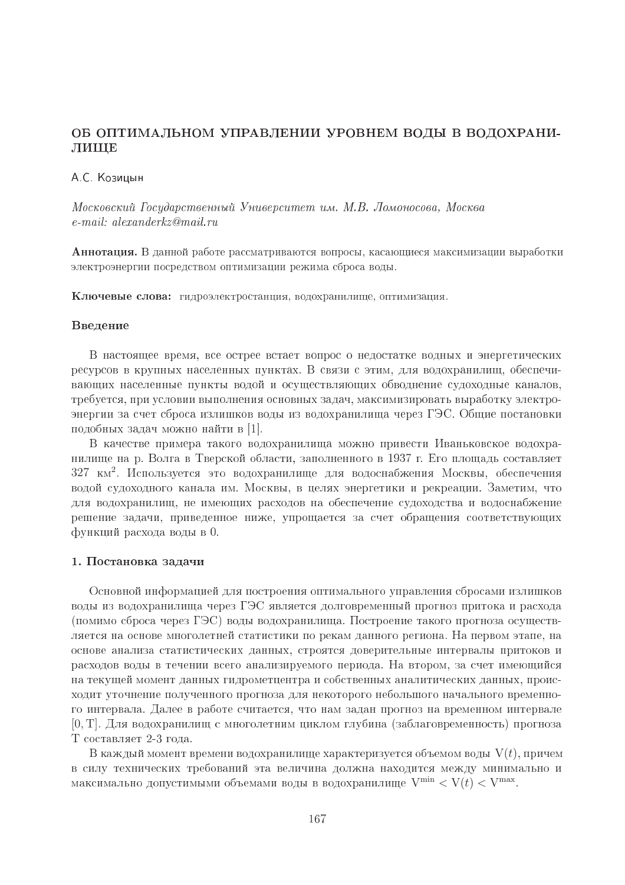## ОБ ОПТИМАЛЬНОМ УПРАВЛЕНИИ УРОВНЕМ ВОДЫ В ВОДОХРАНИ-ЛИЩЕ

### А С. Козицын

Московский Государственный Университет им. М.В. Ломоносова, Москва  $e$ -mail: alexanderkz@mail.ru

Аннотация. В данной работе рассматриваются вопросы, касающиеся максимизации выработки электроэнергии посредством оптимизации режима сброса воды.

Ключевые слова: гидроэлектростанция, водохранилище, оптимизация.

#### Введение

В настоящее время, все острее встает вопрос о недостатке водных и энергетических ресурсов в крупных населенных пунктах. В связи с этим, для водохранилищ, обеспечивающих населенные пункты водой и осуществляющих обводнение судоходные каналов, требуется, при условии выполнения основных задач, максимизировать выработку электроэнергии за счет сброса излишков воды из водохранилища через ГЭС. Общие постановки подобных задач можно найти в [1].

В качестве примера такого водохранилища можно привести Иваньковское водохранилище на р. Волга в Тверской области, заполненного в 1937 г. Его площадь составляет 327 км<sup>2</sup>. Используется это водохранилище для водоснабжения Москвы, обеспечения водой судоходного канала им. Москвы, в целях энергетики и рекреации. Заметим, что для водохранилищ, не имеющих расходов на обеспечение судоходства и водоснабжение решение задачи, приведенное ниже, упрощается за счет обращения соответствующих функций расхода воды в 0.

#### 1. Постановка задачи

Основной информацией для построения оптимального управления сбросами излишков воды из водохранилища через ГЭС является долговременный прогноз притока и расхода (помимо сброса через ГЭС) воды водохранилища. Построение такого прогноза осуществляется на основе многолетней статистики по рекам данного региона. На первом этапе, на основе анализа статистических данных, строятся доверительные интервалы притоков и расходов воды в течении всего анализируемого периода. На втором, за счет имеющийся на текущей момент данных гидрометцентра и собственных аналитических данных, происходит уточнение полученного прогноза для некоторого небольшого начального временного интервала. Далее в работе считается, что нам задан прогноз на временном интервале [0, Т]. Для водохранилищ с многолетним циклом глубина (заблаговременность) прогноза Т составляет 2-3 года.

В каждый момент времени водохранилище характеризуется объемом воды  $V(t)$ , причем в силу технических требований эта величина лолжна нахолится межлу минимально и максимально допустимыми объемами воды в водохранилище  $V^{\min} < V(t) < V^{\max}$ .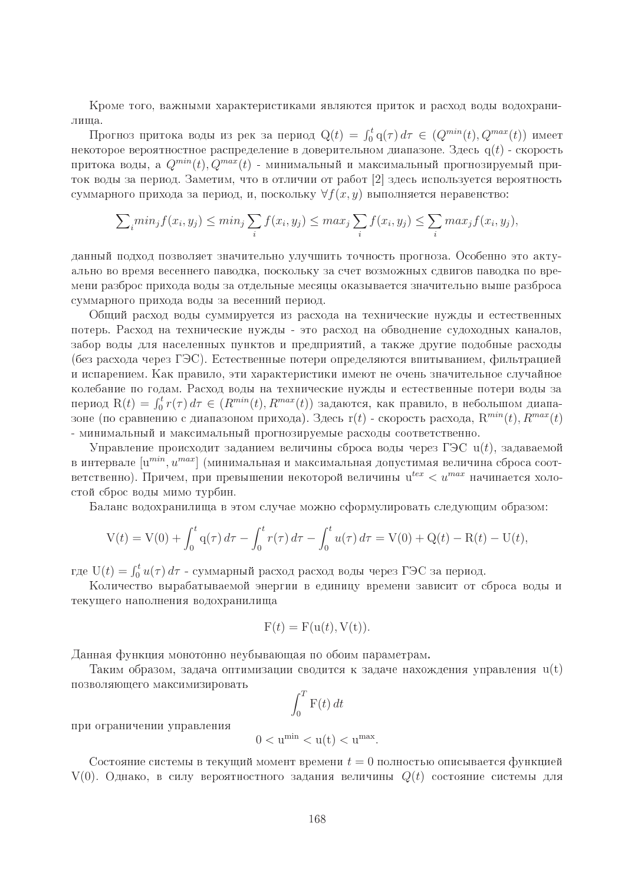Кроме того, важными характеристиками являются приток и расход воды водохранилища.

Прогноз притока воды из рек за период  $Q(t) = \int_0^t q(\tau) d\tau \in (Q^{min}(t), Q^{max}(t))$  имеет некоторое вероятностное распределение в доверительном диапазоне. Здесь  $q(t)$  - скорость притока воды, а  $Q^{min}(t)$ ,  $Q^{max}(t)$  - минимальный и максимальный прогнозируемый приток воды за период. Заметим, что в отличии от работ [2] здесь используется вероятность суммарного прихода за период, и, поскольку  $\forall f(x, y)$  выполняется неравенство:

$$
\sum_i \min_j f(x_i, y_j) \le \min_j \sum_i f(x_i, y_j) \le \max_j \sum_i f(x_i, y_j) \le \sum_i \max_j f(x_i, y_j),
$$

данный подход позволяет значительно улучшить точность прогноза. Особенно это актуально во время весеннего паводка, поскольку за счет возможных сдвигов паводка по времени разброс прихода воды за отдельные месяцы оказывается значительно выше разброса суммарного прихода воды за весенний период.

Общий расход воды суммируется из расхода на технические нужды и естественных потерь. Расход на технические нужды - это расход на обводнение судоходных каналов, забор воды для населенных пунктов и предприятий, а также другие подобные расходы (без расхода через ГЭС). Естественные потери определяются впитыванием, фильтрацией и испарением. Как правило, эти характеристики имеют не очень значительное случайное колебание по годам. Расход воды на технические нужды и естественные потери воды за период  $R(t) = \int_0^t r(\tau) d\tau \in (R^{min}(t), R^{max}(t))$  задаются, как правило, в небольшом диапазоне (по сравнению с диапазоном прихода). Здесь  $r(t)$  - скорость расхода,  $R^{min}(t)$ ,  $R^{max}(t)$ - минимальный и максимальный прогнозируемые расходы соответственно.

Управление происходит заданием величины сброса воды через ГЭС  $u(t)$ , задаваемой в интервале  $[u^{min}, u^{max}]$  (минимальная и максимальная допустимая величина сброса соответственно). Причем, при превышении некоторой величины  $u^{tex} < u^{max}$  начинается холостой сброс воды мимо турбин.

Баланс водохранилища в этом случае можно сформулировать следующим образом:

$$
V(t) = V(0) + \int_0^t q(\tau) d\tau - \int_0^t r(\tau) d\tau - \int_0^t u(\tau) d\tau = V(0) + Q(t) - R(t) - U(t).
$$

где  $U(t) = \int_0^t u(\tau) d\tau$  - суммарный расход расход воды через ГЭС за период.

Количество вырабатываемой энергии в единицу времени зависит от сброса воды и текущего наполнения водохранилища

$$
F(t) = F(u(t), V(t)).
$$

Данная функция монотонно неубывающая по обоим параметрам.

Таким образом, задача оптимизации сводится к задаче нахождения управления  $u(t)$ позволяющего максимизировать

$$
\int_0^T \mathbf{F}(t) \, dt
$$

при ограничении управления

$$
0 < u^{\min} < u(t) < u^{\max}.
$$

Состояние системы в текущий момент времени  $t=0$  полностью описывается функцией  $V(0)$ . Однако, в силу вероятностного задания величины  $Q(t)$  состояние системы для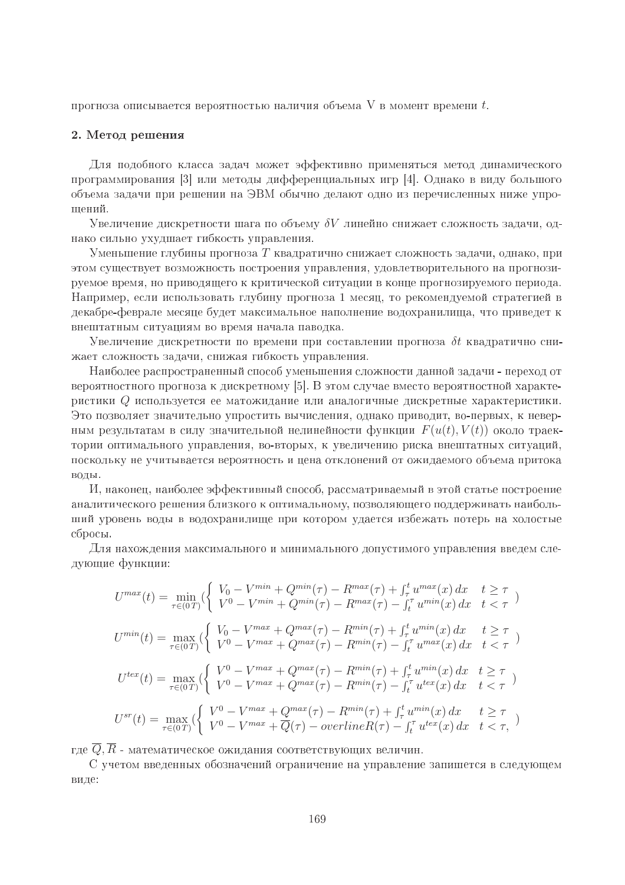прогноза описывается вероятностью наличия объема  $V$  в момент времени  $t$ .

#### 2. Метод решения

Для подобного класса задач может эффективно применяться метод динамического программирования [3] или методы дифференциальных игр [4]. Однако в виду большого объема задачи при решении на ЭВМ обычно делают одно из перечисленных ниже упрошений.

Увеличение дискретности шага по объему  $\delta V$  линейно снижает сложность задачи, однако сильно ухудшает гибкость управления.

Уменьшение глубины прогноза T квадратично снижает сложность задачи, однако, при этом существует возможность построения управления, удовлетворительного на прогнозируемое время, но приводящего к критической ситуации в конце прогнозируемого периода. Например, если использовать глубину прогноза 1 месяц, то рекомендуемой стратегией в декабре-феврале месяце будет максимальное наполнение водохранилища, что приведет к внештатным ситуациям во время начала паводка.

Увеличение дискретности по времени при составлении прогноза  $\delta t$  квадратично снижает сложность задачи, снижая гибкость управления.

Наиболее распространенный способ уменьшения сложности данной задачи - переход от вероятностного прогноза к лискретному [5]. В этом случае вместо вероятностной характеристики Q используется ее матожидание или аналогичные дискретные характеристики. Это позволяет значительно упростить вычисления, однако приводит, во-первых, к неверным результатам в силу значительной нелинейности функции  $F(u(t), V(t))$  около траектории оптимального управления, во-вторых, к увеличению риска внештатных ситуаций, поскольку не учитывается вероятность и цена отклонений от ожидаемого объема притока воды.

И, наконец, наиболее эффективный способ, рассматриваемый в этой статье построение аналитического решения близкого к оптимальному, позволяющего поддерживать наибольший уровень воды в водохранилище при котором удается избежать потерь на холостые сбросы.

Для нахождения максимального и минимального допустимого управления введем следующие функции:

$$
U^{max}(t) = \min_{\tau \in (0,T)} (\begin{cases} V_0 - V^{min} + Q^{min}(\tau) - R^{max}(\tau) + \int_{\tau}^t u^{max}(x) dx & t \ge \tau \\ V^0 - V^{min} + Q^{min}(\tau) - R^{max}(\tau) - \int_t^{\tau} u^{min}(x) dx & t < \tau \end{cases})
$$
  
\n
$$
U^{min}(t) = \max_{\tau \in (0,T)} (\begin{cases} V_0 - V^{max} + Q^{max}(\tau) - R^{min}(\tau) + \int_{\tau}^t u^{min}(x) dx & t \ge \tau \\ V^0 - V^{max} + Q^{max}(\tau) - R^{min}(\tau) - \int_t^{\tau} u^{max}(x) dx & t < \tau \end{cases})
$$
  
\n
$$
U^{tex}(t) = \max_{\tau \in (0,T)} (\begin{cases} V^0 - V^{max} + Q^{max}(\tau) - R^{min}(\tau) + \int_{\tau}^t u^{min}(x) dx & t \ge \tau \\ V^0 - V^{max} + Q^{max}(\tau) - R^{min}(\tau) - \int_t^{\tau} u^{tex}(x) dx & t < \tau \end{cases})
$$
  
\n
$$
U^{sr}(t) = \max_{\tau \in (0,T)} (\begin{cases} V^0 - V^{max} + Q^{max}(\tau) - R^{min}(\tau) + \int_{\tau}^t u^{min}(x) dx & t \ge \tau \\ V^0 - V^{max} + Q(\tau) - \sigma verline{R}(\tau) - \int_t^{\tau} u^{tex}(x) dx & t < \tau, \end{cases})
$$

где  $\overline{Q}, \overline{R}$  - математическое ожидания соответствующих величин.

С учетом введенных обозначений ограничение на управление запишется в следующем виде: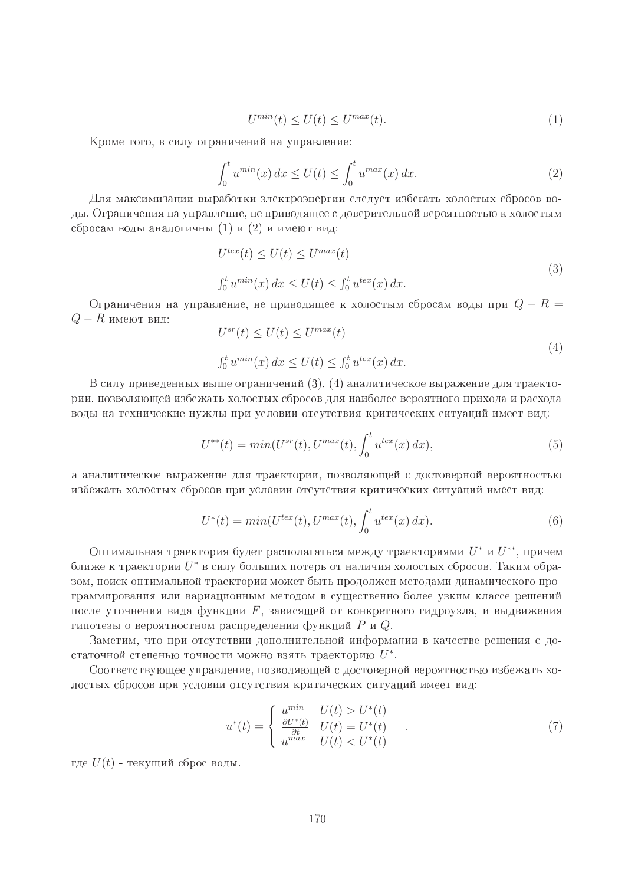$$
U^{\min}(t) \le U(t) \le U^{\max}(t). \tag{1}
$$

Кроме того, в силу ограничений на управление:

$$
\int_0^t u^{\min}(x) dx \le U(t) \le \int_0^t u^{\max}(x) dx.
$$
 (2)

Для максимизации выработки электроэнергии следует избегать холостых сбросов воды. Ограничения на управление, не приводящее с доверительной вероятностью к холостым сбросам воды аналогичны (1) и (2) и имеют вид:

$$
U^{tex}(t) \le U(t) \le U^{max}(t)
$$
  
\n
$$
\int_0^t u^{min}(x) dx \le U(t) \le \int_0^t u^{tex}(x) dx.
$$
\n(3)

Ограничения на управление, не приводящее к холостым сбросам воды при  $Q - R =$  $U^{sr}(t) \leq U(t) \leq U^{max(t)}$  $\overline{Q}-\overline{R}$  имеют вид:

$$
U^{sr}(t) \le U(t) \le U^{max}(t)
$$
  
\n
$$
\int_0^t u^{min}(x) dx \le U(t) \le \int_0^t u^{tex}(x) dx.
$$
\n(4)

В силу приведенных выше ограничений (3), (4) аналитическое выражение для траектории, позволяющей избежать холостых сбросов для наиболее вероятного прихода и расхода воды на технические нужды при условии отсутствия критических ситуаций имеет вид:

$$
U^{**}(t) = min(U^{sr}(t), U^{max}(t), \int_0^t u^{tex}(x) dx), \tag{5}
$$

а аналитическое выражение для траектории, позволяющей с достоверной вероятностью избежать холостых сбросов при условии отсутствия критических ситуаций имеет вид:

$$
U^*(t) = min(U^{tex}(t), U^{max}(t), \int_0^t u^{tex}(x) dx).
$$
\n(6)

Оптимальная траектория будет располагаться между траекториями  $U^*$  и  $U^{**}$ , причем ближе к траектории  $U^*$  в силу больших потерь от наличия холостых сбросов. Таким образом, поиск оптимальной траектории может быть продолжен методами динамического программирования или вариационным методом в существенно более узким классе решений после уточнения вида функции  $F$ , зависящей от конкретного гидроузла, и выдвижения гипотезы о вероятностном распределении функций Р и Q.

Заметим, что при отсутствии дополнительной информации в качестве решения с достаточной степенью точности можно взять траекторию  $U^*$ .

Соответствующее управление, позволяющей с достоверной вероятностью избежать холостых сбросов при условии отсутствия критических ситуаций имеет вид:

$$
u^*(t) = \begin{cases} u^{min} & U(t) > U^*(t) \\ \frac{\partial U^*(t)}{\partial t} & U(t) = U^*(t) \\ u^{max} & U(t) < U^*(t) \end{cases} \tag{7}
$$

где  $U(t)$  - текущий сброс воды.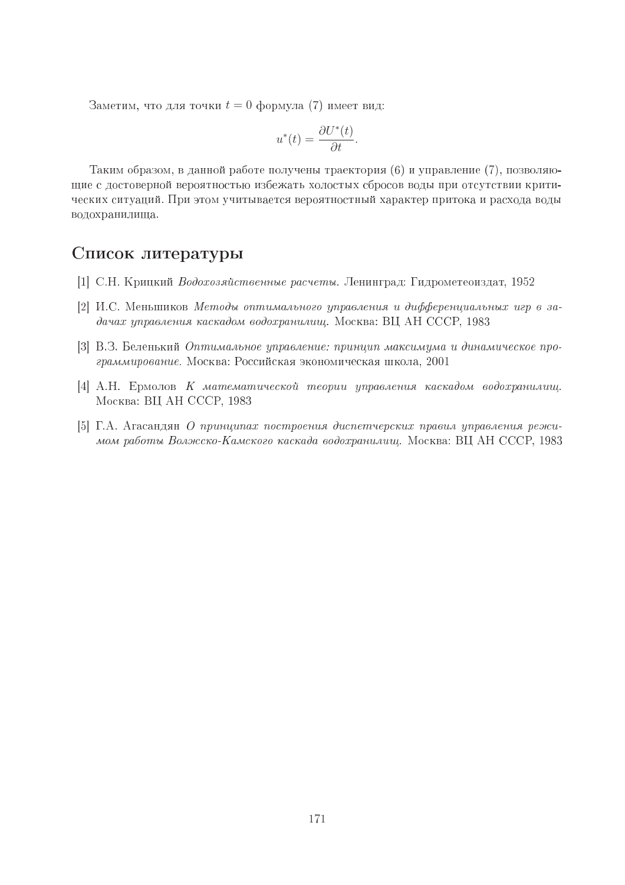Заметим, что для точки  $t = 0$  формула (7) имеет вид:

$$
u^*(t) = \frac{\partial U^*(t)}{\partial t}.
$$

Таким образом, в данной работе получены траектория (6) и управление (7), позволяющие с достоверной вероятностью избежать холостых сбросов воды при отсутствии критических ситуаций. При этом учитывается вероятностный характер притока и расхода воды водохранилища.

# Список литературы

- [1] С.Н. Крицкий Водохозяйственные расчеты. Ленинград: Гидрометеоиздат, 1952
- [2] И.С. Меньшиков Методы оптимального управления и дифференциальных игр в задачах управления каскадом водохранилищ. Москва: ВЦ АН СССР, 1983
- [3] В.З. Беленький Оптимальное управление: принцип максимума и динамическое программирование. Москва: Российская экономическая школа, 2001
- [4] А.Н. Ермолов К математической теории управления каскадом водохранилиш. Москва: ВЦ АН СССР, 1983
- [5] Г.А. Агасандян О принципах построения диспетчерских правил управления режимом работы Волжско-Камского каскада водохранилищ. Москва: ВЦ АН СССР, 1983